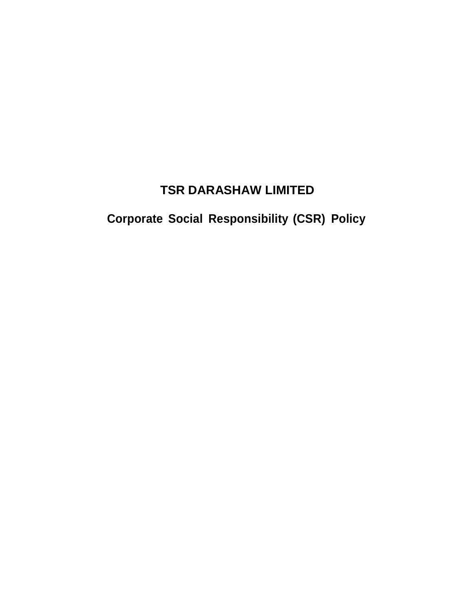# **TSR DARASHAW LIMITED**

# **Corporate Social Responsibility (CSR) Policy**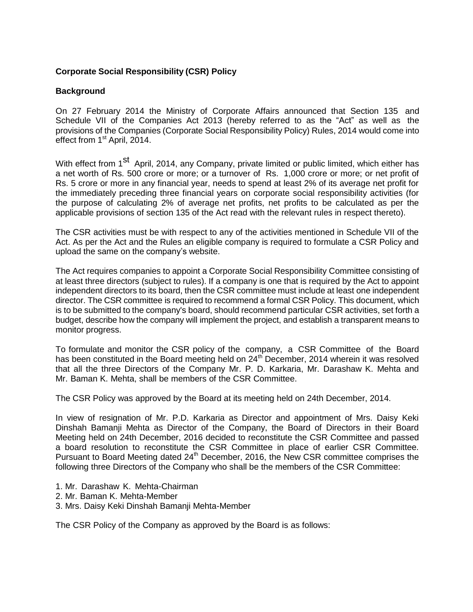## **Corporate Social Responsibility (CSR) Policy**

## **Background**

On 27 February 2014 the Ministry of Corporate Affairs announced that Section 135 and Schedule VII of the Companies Act 2013 (hereby referred to as the "Act" as well as the provisions of the Companies (Corporate Social Responsibility Policy) Rules, 2014 would come into effect from 1<sup>st</sup> April, 2014.

With effect from 1<sup>st</sup> April, 2014, any Company, private limited or public limited, which either has a net worth of Rs. 500 crore or more; or a turnover of Rs. 1,000 crore or more; or net profit of Rs. 5 crore or more in any financial year, needs to spend at least 2% of its average net profit for the immediately preceding three financial years on corporate social responsibility activities (for the purpose of calculating 2% of average net profits, net profits to be calculated as per the applicable provisions of section 135 of the Act read with the relevant rules in respect thereto).

The CSR activities must be with respect to any of the activities mentioned in Schedule VII of the Act. As per the Act and the Rules an eligible company is required to formulate a CSR Policy and upload the same on the company's website.

The Act requires companies to appoint a Corporate Social Responsibility Committee consisting of at least three directors (subject to rules). If a company is one that is required by the Act to appoint independent directors to its board, then the CSR committee must include at least one independent director. The CSR committee is required to recommend a formal CSR Policy. This document, which is to be submitted to the company's board, should recommend particular CSR activities, set forth a budget, describe how the company will implement the project, and establish a transparent means to monitor progress.

To formulate and monitor the CSR policy of the company, a CSR Committee of the Board has been constituted in the Board meeting held on  $24<sup>th</sup>$  December, 2014 wherein it was resolved that all the three Directors of the Company Mr. P. D. Karkaria, Mr. Darashaw K. Mehta and Mr. Baman K. Mehta, shall be members of the CSR Committee.

The CSR Policy was approved by the Board at its meeting held on 24th December, 2014.

In view of resignation of Mr. P.D. Karkaria as Director and appointment of Mrs. Daisy Keki Dinshah Bamanji Mehta as Director of the Company, the Board of Directors in their Board Meeting held on 24th December, 2016 decided to reconstitute the CSR Committee and passed a board resolution to reconstitute the CSR Committee in place of earlier CSR Committee. Pursuant to Board Meeting dated 24<sup>th</sup> December, 2016, the New CSR committee comprises the following three Directors of the Company who shall be the members of the CSR Committee:

- 1. Mr. Darashaw K. Mehta-Chairman
- 2. Mr. Baman K. Mehta-Member
- 3. Mrs. Daisy Keki Dinshah Bamanji Mehta-Member

The CSR Policy of the Company as approved by the Board is as follows: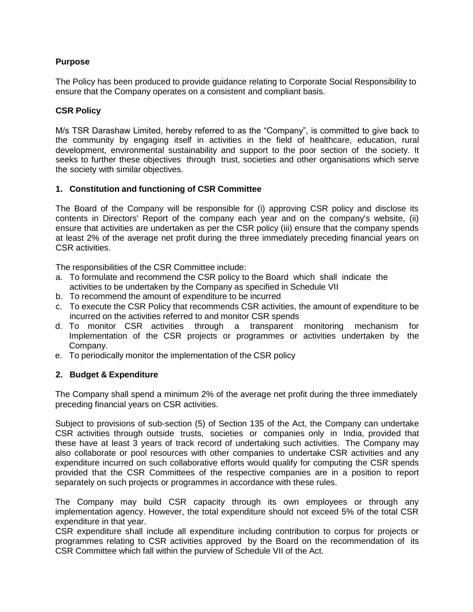# **Purpose**

The Policy has been produced to provide guidance relating to Corporate Social Responsibility to ensure that the Company operates on a consistent and compliant basis.

## **CSR Policy**

M/s TSR Darashaw Limited, hereby referred to as the "Company", is committed to give back to the community by engaging itself in activities in the field of healthcare, education, rural development, environmental sustainability and support to the poor section of the society. It seeks to further these objectives through trust, societies and other organisations which serve the society with similar objectives.

#### **1. Constitution and functioning of CSR Committee**

The Board of the Company will be responsible for (i) approving CSR policy and disclose its contents in Directors' Report of the company each year and on the company's website, (ii) ensure that activities are undertaken as per the CSR policy (iii) ensure that the company spends at least 2% of the average net profit during the three immediately preceding financial years on CSR activities.

The responsibilities of the CSR Committee include:

- a. To formulate and recommend the CSR policy to the Board which shall indicate the activities to be undertaken by the Company as specified in Schedule VII
- b. To recommend the amount of expenditure to be incurred
- c. To execute the CSR Policy that recommends CSR activities, the amount of expenditure to be incurred on the activities referred to and monitor CSR spends
- d. To monitor CSR activities through a transparent monitoring mechanism for Implementation of the CSR projects or programmes or activities undertaken by the Company.
- e. To periodically monitor the implementation of the CSR policy

## **2. Budget & Expenditure**

The Company shall spend a minimum 2% of the average net profit during the three immediately preceding financial years on CSR activities.

Subject to provisions of sub-section (5) of Section 135 of the Act, the Company can undertake CSR activities through outside trusts, societies or companies only in India, provided that these have at least 3 years of track record of undertaking such activities. The Company may also collaborate or pool resources with other companies to undertake CSR activities and any expenditure incurred on such collaborative efforts would qualify for computing the CSR spends provided that the CSR Committees of the respective companies are in a position to report separately on such projects or programmes in accordance with these rules.

The Company may build CSR capacity through its own employees or through any implementation agency. However, the total expenditure should not exceed 5% of the total CSR expenditure in that year.

CSR expenditure shall include all expenditure including contribution to corpus for projects or programmes relating to CSR activities approved by the Board on the recommendation of its CSR Committee which fall within the purview of Schedule VII of the Act.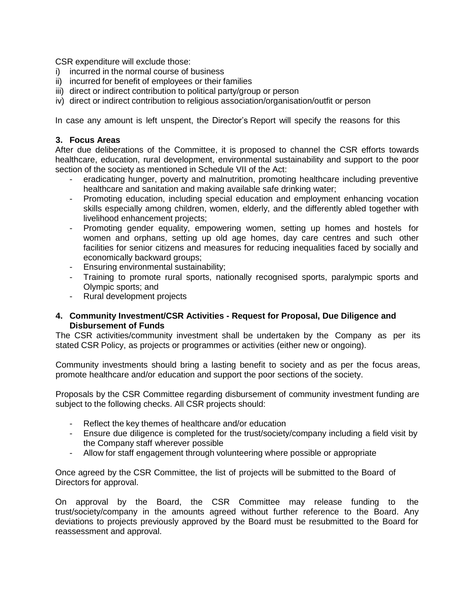CSR expenditure will exclude those:

- i) incurred in the normal course of business
- ii) incurred for benefit of employees or their families
- iii) direct or indirect contribution to political party/group or person
- iv) direct or indirect contribution to religious association/organisation/outfit or person

In case any amount is left unspent, the Director's Report will specify the reasons for this

#### **3. Focus Areas**

After due deliberations of the Committee, it is proposed to channel the CSR efforts towards healthcare, education, rural development, environmental sustainability and support to the poor section of the society as mentioned in Schedule VII of the Act:

- eradicating hunger, poverty and malnutrition, promoting healthcare including preventive healthcare and sanitation and making available safe drinking water;
- Promoting education, including special education and employment enhancing vocation skills especially among children, women, elderly, and the differently abled together with livelihood enhancement projects;
- Promoting gender equality, empowering women, setting up homes and hostels for women and orphans, setting up old age homes, day care centres and such other facilities for senior citizens and measures for reducing inequalities faced by socially and economically backward groups;
- Ensuring environmental sustainability;
- Training to promote rural sports, nationally recognised sports, paralympic sports and Olympic sports; and
- Rural development projects

#### **4. Community Investment/CSR Activities - Request for Proposal, Due Diligence and Disbursement of Funds**

The CSR activities/community investment shall be undertaken by the Company as per its stated CSR Policy, as projects or programmes or activities (either new or ongoing).

Community investments should bring a lasting benefit to society and as per the focus areas, promote healthcare and/or education and support the poor sections of the society.

Proposals by the CSR Committee regarding disbursement of community investment funding are subject to the following checks. All CSR projects should:

- Reflect the key themes of healthcare and/or education
- Ensure due diligence is completed for the trust/society/company including a field visit by the Company staff wherever possible
- Allow for staff engagement through volunteering where possible or appropriate

Once agreed by the CSR Committee, the list of projects will be submitted to the Board of Directors for approval.

On approval by the Board, the CSR Committee may release funding to the trust/society/company in the amounts agreed without further reference to the Board. Any deviations to projects previously approved by the Board must be resubmitted to the Board for reassessment and approval.